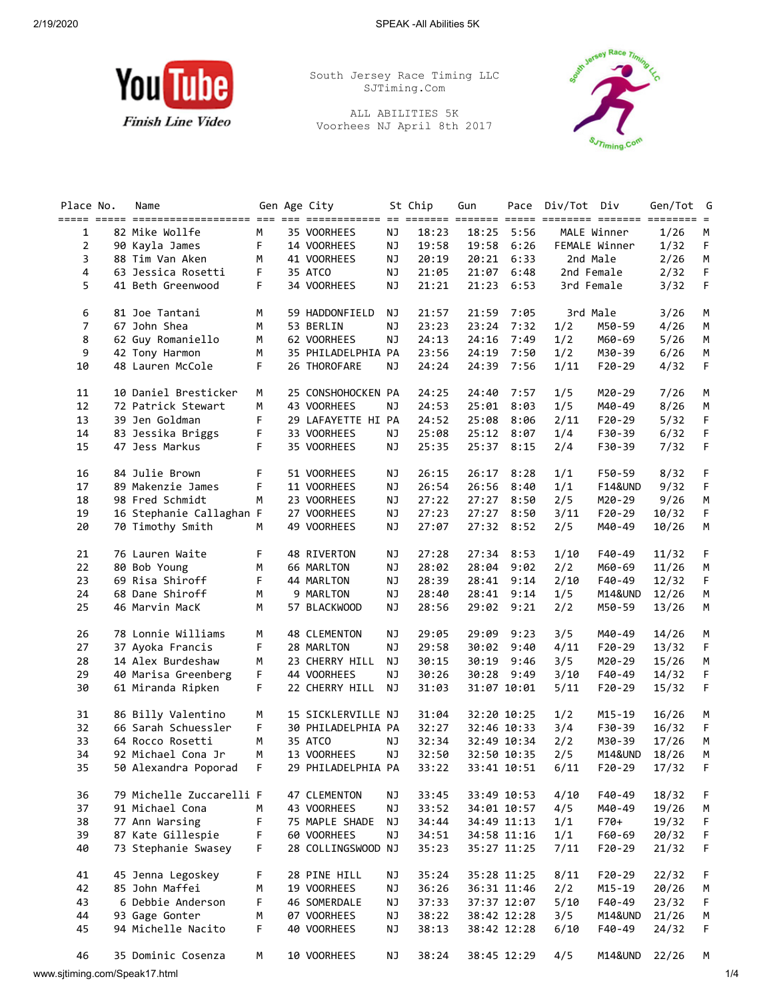

South Jersey Race Timing LLC SJTiming.Com

ALL ABILITIES 5K Voorhees NJ April 8th 2017



| Place No.      | Name                                                                                                                       |   | Gen Age City       |           | St Chip | Gun         |             | Pace Div/Tot Div |                    | Gen/Tot G      |        |
|----------------|----------------------------------------------------------------------------------------------------------------------------|---|--------------------|-----------|---------|-------------|-------------|------------------|--------------------|----------------|--------|
| 1              | anaan aadan adalahaadadadadaan aha aha adalahaadaan oo adalada ahaadaa adala adalahaa adalaha ahaadaan o<br>82 Mike Wollfe | м | 35 VOORHEES        | ΝJ        | 18:23   | 18:25       | 5:56        |                  | MALE Winner        | 1/26           | М      |
| $\overline{2}$ | 90 Kayla James                                                                                                             | F | 14 VOORHEES        | NJ        | 19:58   | 19:58       | 6:26        |                  | FEMALE Winner      | 1/32           | F      |
| 3              | 88 Tim Van Aken                                                                                                            | М | 41 VOORHEES        | NJ        | 20:19   | 20:21       | 6:33        |                  | 2nd Male           | 2/26           | M      |
| 4              | 63 Jessica Rosetti                                                                                                         | F | 35 ATCO            | NJ        | 21:05   | 21:07       | 6:48        |                  | 2nd Female         | 2/32           | F      |
| 5              | 41 Beth Greenwood                                                                                                          | F | 34 VOORHEES        | ΝJ        | 21:21   | 21:23       | 6:53        |                  | 3rd Female         | 3/32           | F      |
| 6              | 81 Joe Tantani                                                                                                             | M | 59 HADDONFIELD     | NJ        | 21:57   | 21:59       | 7:05        |                  | 3rd Male           | 3/26           | М      |
| $\overline{7}$ | 67 John Shea                                                                                                               | M | 53 BERLIN          | ΝJ        | 23:23   | 23:24       | 7:32        | 1/2              | M50-59             | 4/26           | М      |
| 8              | 62 Guy Romaniello                                                                                                          | М | 62 VOORHEES        | <b>NJ</b> | 24:13   | 24:16       | 7:49        | 1/2              | M60-69             | 5/26           | М      |
| 9              | 42 Tony Harmon                                                                                                             | М | 35 PHILADELPHIA PA |           | 23:56   | 24:19       | 7:50        | 1/2              | M30-39             | 6/26           | М      |
| 10             | 48 Lauren McCole                                                                                                           | F | 26 THOROFARE       | ΝJ        | 24:24   | 24:39       | 7:56        | 1/11             | $F20-29$           | 4/32           | F      |
|                | 10 Daniel Bresticker                                                                                                       |   |                    |           |         |             |             |                  |                    |                |        |
| 11<br>12       |                                                                                                                            | М | 25 CONSHOHOCKEN PA |           | 24:25   | 24:40       | 7:57        | 1/5              | M20-29             | 7/26           | М      |
|                | 72 Patrick Stewart                                                                                                         | М | 43 VOORHEES        | ΝJ        | 24:53   | 25:01       | 8:03        | 1/5              | M40-49             | 8/26           | М      |
| 13             | 39 Jen Goldman                                                                                                             | F | 29 LAFAYETTE HI PA |           | 24:52   | 25:08       | 8:06        | 2/11             | $F20-29$           | 5/32           | F      |
| 14             | 83 Jessika Briggs                                                                                                          | F | 33 VOORHEES        | NJ        | 25:08   | 25:12       | 8:07        | 1/4              | F30-39             | 6/32           | F      |
| 15             | 47 Jess Markus                                                                                                             | F | 35 VOORHEES        | NJ        | 25:35   | 25:37       | 8:15        | 2/4              | F30-39             | 7/32           | F      |
| 16             | 84 Julie Brown                                                                                                             | F | 51 VOORHEES        | ΝJ        | 26:15   | 26:17       | 8:28        | 1/1              | F50-59             | 8/32           | F      |
| 17             | 89 Makenzie James                                                                                                          | F | 11 VOORHEES        | <b>NJ</b> | 26:54   | 26:56       | 8:40        | 1/1              | <b>F14&amp;UND</b> | 9/32           | F      |
| 18             | 98 Fred Schmidt                                                                                                            | M | 23 VOORHEES        | NJ        | 27:22   | 27:27       | 8:50        | 2/5              | M20-29             | 9/26           | М      |
| 19             | 16 Stephanie Callaghan F                                                                                                   |   | 27 VOORHEES        | NJ        | 27:23   | 27:27       | 8:50        | 3/11             | $F20-29$           | 10/32          | F      |
| 20             | 70 Timothy Smith                                                                                                           | М | 49 VOORHEES        | NJ        | 27:07   | 27:32       | 8:52        | 2/5              | M40-49             | 10/26          | М      |
| 21             | 76 Lauren Waite                                                                                                            | F | 48 RIVERTON        | ΝJ        | 27:28   | 27:34       | 8:53        | 1/10             | F40-49             | 11/32          | F      |
| 22             | 80 Bob Young                                                                                                               | М | 66 MARLTON         | ΝJ        | 28:02   | 28:04       | 9:02        | 2/2              | M60-69             | 11/26          | М      |
| 23             | 69 Risa Shiroff                                                                                                            | F | 44 MARLTON         | ΝJ        | 28:39   | 28:41       | 9:14        | 2/10             | F40-49             | 12/32          | F      |
| 24             | 68 Dane Shiroff                                                                                                            | M | 9 MARLTON          | NJ        | 28:40   | 28:41       | 9:14        | 1/5              | M14&UND            | 12/26          | М      |
| 25             | 46 Marvin MacK                                                                                                             | М | 57 BLACKWOOD       | ΝJ        | 28:56   | 29:02       | 9:21        | 2/2              | M50-59             | 13/26          | М      |
| 26             | 78 Lonnie Williams                                                                                                         | М | 48 CLEMENTON       | <b>NJ</b> | 29:05   | 29:09       | 9:23        | 3/5              | M40-49             | 14/26          | М      |
| 27             | 37 Ayoka Francis                                                                                                           | F | 28 MARLTON         | ΝJ        | 29:58   | 30:02       | 9:40        | 4/11             | $F20-29$           | 13/32          | F      |
| 28             | 14 Alex Burdeshaw                                                                                                          | М | 23 CHERRY HILL     | NJ        | 30:15   | 30:19       | 9:46        | 3/5              | M20-29             | 15/26          | M      |
| 29             | 40 Marisa Greenberg                                                                                                        | F | 44 VOORHEES        | <b>NJ</b> | 30:26   | 30:28       | 9:49        | 3/10             | F40-49             | 14/32          | F      |
| 30             | 61 Miranda Ripken                                                                                                          | F | 22 CHERRY HILL     | NJ        | 31:03   | 31:07 10:01 |             | 5/11             | $F20-29$           | 15/32          | F      |
| 31             |                                                                                                                            | М | 15 SICKLERVILLE NJ |           | 31:04   | 32:20 10:25 |             | 1/2              | M15-19             | 16/26          | М      |
| 32             | 86 Billy Valentino<br>66 Sarah Schuessler                                                                                  | F | 30 PHILADELPHIA PA |           | 32:27   | 32:46 10:33 |             | 3/4              | F30-39             | 16/32          | F      |
| 33             | 64 Rocco Rosetti                                                                                                           | M | 35 ATCO            | ΝJ        | 32:34   |             | 32:49 10:34 | 2/2              | M30-39             | 17/26          | М      |
| 34             |                                                                                                                            | M | 13 VOORHEES        | NJ        | 32:50   | 32:50 10:35 |             |                  |                    |                |        |
| 35             | 92 Michael Cona Jr<br>50 Alexandra Poporad                                                                                 | F | 29 PHILADELPHIA PA |           | 33:22   | 33:41 10:51 |             | 2/5<br>6/11      | M14&UND<br>F20-29  | 18/26<br>17/32 | м<br>F |
|                |                                                                                                                            |   |                    |           |         |             |             |                  |                    |                |        |
| 36             | 79 Michelle Zuccarelli F                                                                                                   |   | 47 CLEMENTON       | NJ        | 33:45   | 33:49 10:53 |             | 4/10             | F40-49             | 18/32          | F      |
| 37             | 91 Michael Cona                                                                                                            | М | 43 VOORHEES        | <b>NJ</b> | 33:52   |             | 34:01 10:57 | 4/5              | M40-49             | 19/26          | М      |
| 38             | 77 Ann Warsing                                                                                                             | F | 75 MAPLE SHADE     | ΝJ        | 34:44   |             | 34:49 11:13 | 1/1              | F70+               | 19/32          | F      |
| 39             | 87 Kate Gillespie                                                                                                          | F | 60 VOORHEES        | <b>NJ</b> | 34:51   | 34:58 11:16 |             | 1/1              | F60-69             | 20/32          | F      |
| 40             | 73 Stephanie Swasey                                                                                                        | F | 28 COLLINGSWOOD NJ |           | 35:23   | 35:27 11:25 |             | 7/11             | $F20-29$           | 21/32          | F      |
| 41             | 45 Jenna Legoskey                                                                                                          | F | 28 PINE HILL       | ΝJ        | 35:24   | 35:28 11:25 |             | 8/11             | $F20-29$           | 22/32          | F      |
| 42             | 85 John Maffei                                                                                                             | М | 19 VOORHEES        | NJ        | 36:26   | 36:31 11:46 |             | 2/2              | $M15 - 19$         | 20/26          | М      |
| 43             | 6 Debbie Anderson                                                                                                          | F | 46 SOMERDALE       | NJ        | 37:33   |             | 37:37 12:07 | 5/10             | F40-49             | 23/32          | F      |
| 44             | 93 Gage Gonter                                                                                                             | м | 07 VOORHEES        | NJ        | 38:22   |             | 38:42 12:28 | 3/5              | M14&UND            | 21/26          | м      |
| 45             | 94 Michelle Nacito                                                                                                         | F | 40 VOORHEES        | NJ        | 38:13   | 38:42 12:28 |             | 6/10             | F40-49             | 24/32          | F      |
| 46             | 35 Dominic Cosenza                                                                                                         | M | 10 VOORHEES        | NJ        | 38:24   |             | 38:45 12:29 | 4/5              | M14&UND            | 22/26          | M      |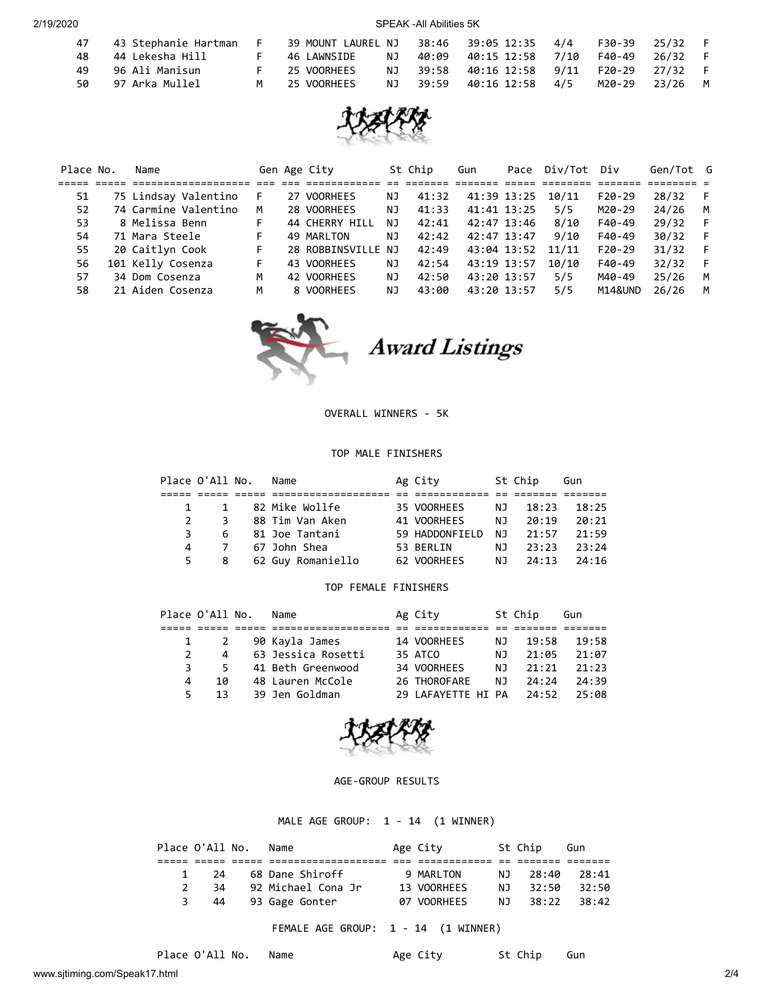2/19/2020 SPEAK -All Abilities 5K

| 47  | 43 Stephanie Hartman  |   | 39 MOUNT LAUREL NJ |    | 38:46 39:05 12:35 4/4                  | F30-39 25/32 |  |
|-----|-----------------------|---|--------------------|----|----------------------------------------|--------------|--|
|     | 48    44 Lekesha Hill |   | 46 LAWNSIDE        | NJ | 40:09  40:15  12:58  7/10              | F40-49 26/32 |  |
| 49. | 96 Ali Manisun        |   | 25 VOORHEES        |    | NJ 39:58 40:16 12:58 9/11 F20-29 27/32 |              |  |
| 50. | 97 Arka Mullel        | M | 25 VOORHEES        |    | NJ 39:59 40:16 12:58 4/5               | M20-29 23/26 |  |



| Place No. | Name                 |    | Gen Age City       |    | St Chip | Gun         | Pace | Div/Tot | Div      | Gen/Tot G |     |
|-----------|----------------------|----|--------------------|----|---------|-------------|------|---------|----------|-----------|-----|
|           |                      |    |                    |    |         |             |      |         |          |           |     |
| 51        | 75 Lindsay Valentino | F. | 27 VOORHEES        | ΝJ | 41:32   | 41:39 13:25 |      | 10/11   | $F20-29$ | 28/32     |     |
| 52        | 74 Carmine Valentino | м  | 28 VOORHEES        | ΝJ | 41:33   | 41:41 13:25 |      | 5/5     | M20-29   | 24/26     | M   |
| 53        | 8 Melissa Benn       | F. | 44 CHERRY HILL     | ΝJ | 42:41   | 42:47 13:46 |      | 8/10    | $F40-49$ | 29/32     | - F |
| 54        | 71 Mara Steele       | F. | 49 MARLTON         | ΝJ | 42:42   | 42:47 13:47 |      | 9/10    | $F40-49$ | 30/32     |     |
| 55        | 20 Caitlyn Cook      | F. | 28 ROBBINSVILLE NJ |    | 42:49   | 43:04 13:52 |      | 11/11   | $F20-29$ | 31/32     | - F |
| 56        | 101 Kelly Cosenza    | F. | 43 VOORHEES        | ΝJ | 42:54   | 43:19 13:57 |      | 10/10   | F40-49   | 32/32     |     |
| 57        | 34 Dom Cosenza       | м  | 42 VOORHEES        | ΝJ | 42:50   | 43:20 13:57 |      | 5/5     | M40-49   | 25/26     | м   |
| 58        | 21 Aiden Cosenza     | м  | 8 VOORHEES         | ΝJ | 43:00   | 43:20 13:57 |      | 5/5     | M14&UND  | 26/26     | м   |



OVERALL WINNERS - 5K

## TOP MALE FINISHERS

|   | Place O'All No.             | Name                  | Ag City        | St Chip  | Gun   |
|---|-----------------------------|-----------------------|----------------|----------|-------|
|   |                             |                       |                |          |       |
|   | $1 \quad \blacksquare$      | 1     82 Mike Wollfe  | 35 VOORHEES    | NJ 18:23 | 18:25 |
|   | $\mathbf{3}$<br>$2^{\circ}$ | 88 Tim Van Aken       | 41 VOORHEES    | NJ 20:19 | 20:21 |
|   | 3                           | 6 81 Joe Tantani      | 59 HADDONFIELD | NJ 21:57 | 21:59 |
| 4 |                             |                       | 53 BERLIN      | NJ 23:23 | 23:24 |
|   |                             | 5 8 62 Guy Romaniello | 62 VOORHEES    | NJ 24:13 | 24:16 |

## TOP FEMALE FINISHERS

|               | Place O'All No. | Name               | Ag City            |     | St Chip | Gun   |
|---------------|-----------------|--------------------|--------------------|-----|---------|-------|
|               |                 |                    |                    |     |         |       |
|               | 1 2             | 90 Kayla James     | 14 VOORHEES        | NJ. | 19:58   | 19:58 |
| $\mathcal{P}$ | $\overline{4}$  | 63 Jessica Rosetti | 35 ATCO            | NJ. | 21:05   | 21:07 |
|               | 3<br>5.         | 41 Beth Greenwood  | 34 VOORHEES        | N J | 21:21   | 21:23 |
| 4             | 10              | 48 Lauren McCole   | 26 THOROFARE       | NJ. | 24:24   | 24:39 |
| 5.            | 13              | 39 Jen Goldman     | 29 LAFAYETTE HI PA |     | 24:52   | 25.08 |



## AGE-GROUP RESULTS

MALE AGE GROUP: 1 - 14 (1 WINNER)

|               | Place O'All No.      | Name               | Age City    |     | St Chip | Gun     |
|---------------|----------------------|--------------------|-------------|-----|---------|---------|
|               |                      |                    |             |     |         |         |
|               | - 24<br>$\mathbf{1}$ | 68 Dane Shiroff    | 9 MARLTON   | N J | 28:40   | - 28:41 |
| $\mathcal{P}$ | 34                   | 92 Michael Cona Jr | 13 VOORHEES | NJ. | 32:50   | 32:50   |
| 3             | - 44                 | 93 Gage Gonter     | 07 VOORHEES | NJ  | 38:22   | 38:42   |

FEMALE AGE GROUP: 1 - 14 (1 WINNER)

Place O'All No. Name Age City St Chip Gun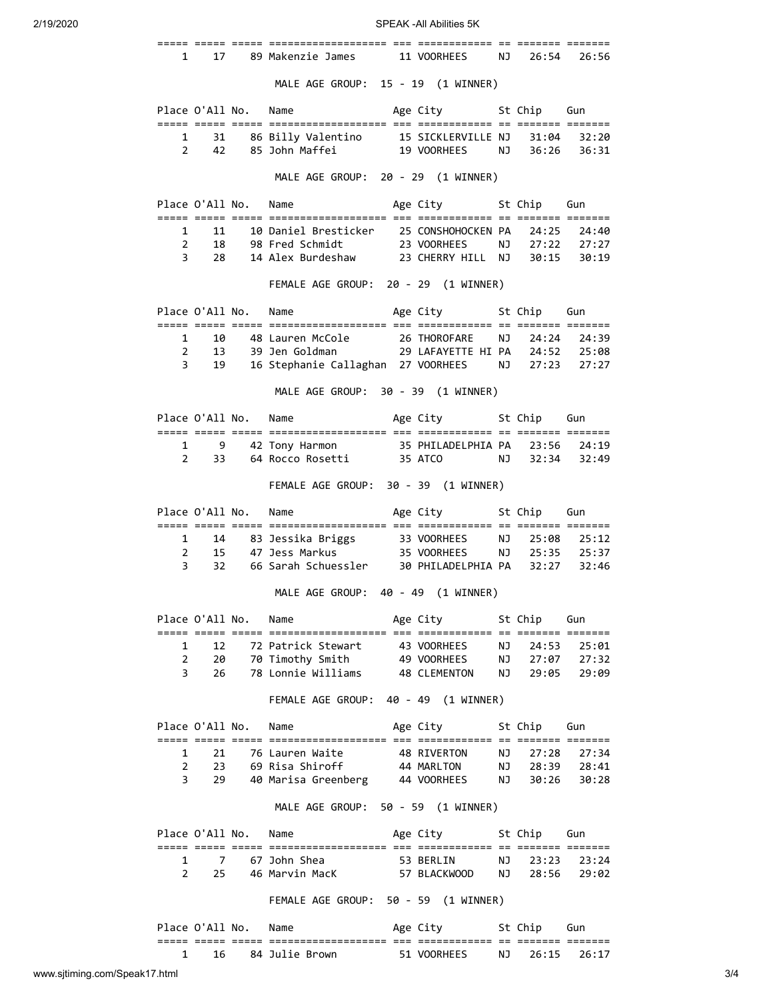2/19/2020 SPEAK -All Abilities 5K

|                               | $\mathbf{1}$<br>17                         | 89 Makenzie James                                                                                                         | 11 VOORHEES               | NJ       | 26:54           | 26:56          |
|-------------------------------|--------------------------------------------|---------------------------------------------------------------------------------------------------------------------------|---------------------------|----------|-----------------|----------------|
|                               |                                            | MALE AGE GROUP: 15 - 19 (1 WINNER)                                                                                        |                           |          |                 |                |
|                               | Place O'All No.                            | Name                                                                                                                      | Age City                  |          | St Chip         | Gun            |
|                               | 1<br>31                                    | 86 Billy Valentino                                                                                                        | 15 SICKLERVILLE NJ        |          | 31:04           | 32:20          |
|                               | $\overline{2}$<br>42                       | 85 John Maffei                                                                                                            | 19 VOORHEES               | NJ       | 36:26           | 36:31          |
|                               |                                            | MALE AGE GROUP: 20 - 29 (1 WINNER)                                                                                        |                           |          |                 |                |
|                               | Place O'All No.                            | Name                                                                                                                      | Age City<br>St Chip       |          |                 | Gun            |
|                               | $\mathbf{1}$<br>11                         | <u>soos coos coos concentracteristic at concentract of contro concen</u><br>10 Daniel Bresticker 25 CONSHOHOCKEN PA 24:25 |                           |          |                 | 24:40          |
|                               | $\overline{2}$<br>18                       | 98 Fred Schmidt 23 VOORHEES NJ 27:22 27:27                                                                                |                           |          |                 |                |
|                               | 3<br>28                                    | 14 Alex Burdeshaw 23 CHERRY HILL NJ 30:15                                                                                 |                           |          |                 | 30:19          |
|                               |                                            | FEMALE AGE GROUP: 20 - 29 (1 WINNER)                                                                                      |                           |          |                 |                |
|                               | Place O'All No.                            | Name                                                                                                                      | Age City                  |          | St Chip         | Gun            |
|                               | $\mathbf{1}$<br>10                         | 48 Lauren McCole                                                                                                          |                           |          | NJ 24:24        | 24:39          |
|                               | $\overline{2}$<br>13                       |                                                                                                                           | 26 THOROFARE              |          |                 | 25:08          |
|                               | 3<br>19                                    | 16 Stephanie Callaghan 27 VOORHEES NJ 27:23                                                                               |                           |          |                 | 27:27          |
|                               |                                            | MALE AGE GROUP: 30 - 39 (1 WINNER)                                                                                        |                           |          |                 |                |
|                               | Place O'All No.                            | Name                                                                                                                      | Age City                  |          | St Chip         | Gun            |
|                               |                                            | <u>soos oose oose oosesessessessesse oo oosesessese oo oosese oosese</u>                                                  |                           |          |                 |                |
|                               | $\mathbf{1}$<br>9                          | 42 Tony Harmon               35 PHILADELPHIA PA     23:56                                                                 |                           |          |                 | 24:19          |
|                               | 2<br>33                                    | 64 Rocco Rosetti                                                                                                          | 35 ATCO<br>NJ NJ          |          | 32:34           | 32:49          |
|                               |                                            | FEMALE AGE GROUP: 30 - 39 (1 WINNER)                                                                                      |                           |          |                 |                |
|                               | Place O'All No.                            | Name                                                                                                                      | Age City                  |          | St Chip         | Gun            |
|                               | $\mathbf{1}$<br>14                         | 83 Jessika Briggs 33 VOORHEES                                                                                             |                           |          | NJ 25:08        | 25:12          |
|                               | $\overline{2}$<br>15                       | 47 Jess Markus 35 VOORHEES NJ 25:35                                                                                       |                           |          |                 | 25:37          |
|                               | 3<br>32                                    | 66 Sarah Schuessler 30 PHILADELPHIA PA                                                                                    |                           |          | 32:27           | 32:46          |
|                               |                                            | MALE AGE GROUP: 40 - 49 (1 WINNER)                                                                                        |                           |          |                 |                |
|                               | Place O'All No.                            | Name                                                                                                                      | Age City                  |          | St Chip         | Gun            |
|                               | 1<br>12                                    | 72 Patrick Stewart                                                                                                        | 43 VOORHEES               | ΝJ       | 24:53           | 25:01          |
|                               | $\overline{2}$<br>20                       | 70 Timothy Smith 49 VOORHEES                                                                                              |                           | ΝJ       | 27:07           | 27:32          |
|                               | 3<br>26                                    | 78 Lonnie Williams                                                                                                        | 48 CLEMENTON              | ΝJ       | 29:05           | 29:09          |
|                               |                                            | FEMALE AGE GROUP: 40 - 49 (1 WINNER)                                                                                      |                           |          |                 |                |
|                               | Place O'All No.                            | Name                                                                                                                      | Age City                  |          | St Chip         | Gun            |
|                               |                                            | <u>soos coos coos concentracteristic at concentract of contro concen</u>                                                  |                           |          |                 |                |
|                               | $\mathbf{1}$<br>21<br>$\overline{2}$<br>23 | 76 Lauren Waite<br>69 Risa Shiroff                                                                                        | 48 RIVERTON<br>44 MARLTON | NJ<br>NJ | 27:28<br>28:39  | 27:34<br>28:41 |
|                               | 3<br>29                                    | 40 Marisa Greenberg                                                                                                       | 44 VOORHEES               | NJ       | 30:26           | 30:28          |
|                               |                                            | MALE AGE GROUP: 50 - 59 (1 WINNER)                                                                                        |                           |          |                 |                |
|                               |                                            |                                                                                                                           |                           |          |                 |                |
|                               | Place O'All No.                            | Name<br><u>soos oose oose oosesessessessesse oo oosesessese oo oosese oosese</u>                                          | Age City                  |          | St Chip         | Gun            |
|                               | 1<br>7                                     | 67 John Shea                                                                                                              | 53 BERLIN                 | ΝJ       | 23:23           | 23:24          |
| $\overline{2}$                | 25                                         | 46 Marvin MacK                                                                                                            | 57 BLACKWOOD              | NJ       | 28:56           | 29:02          |
|                               |                                            | FEMALE AGE GROUP: 50 - 59 (1 WINNER)                                                                                      |                           |          |                 |                |
|                               | Place O'All No.                            | Name                                                                                                                      | Age City                  |          | St Chip         | Gun            |
|                               |                                            |                                                                                                                           |                           |          | ======= ======= |                |
|                               | $\mathbf{1}$<br>16                         | 84 Julie Brown                                                                                                            | 51 VOORHEES               | ΝJ       | 26:15           | 26:17          |
| www.sjtiming.com/Speak17.html |                                            |                                                                                                                           |                           |          |                 |                |